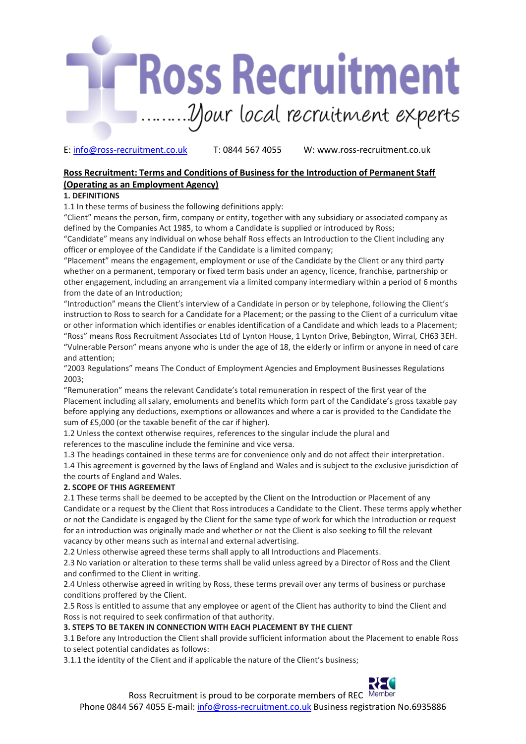

# **Ross Recruitment: Terms and Conditions of Business for the Introduction of Permanent Staff (Operating as an Employment Agency)**

# **1. DEFINITIONS**

1.1 In these terms of business the following definitions apply:

"Client" means the person, firm, company or entity, together with any subsidiary or associated company as defined by the Companies Act 1985, to whom a Candidate is supplied or introduced by Ross;

"Candidate" means any individual on whose behalf Ross effects an Introduction to the Client including any officer or employee of the Candidate if the Candidate is a limited company;

"Placement" means the engagement, employment or use of the Candidate by the Client or any third party whether on a permanent, temporary or fixed term basis under an agency, licence, franchise, partnership or other engagement, including an arrangement via a limited company intermediary within a period of 6 months from the date of an Introduction;

"Introduction" means the Client's interview of a Candidate in person or by telephone, following the Client's instruction to Ross to search for a Candidate for a Placement; or the passing to the Client of a curriculum vitae or other information which identifies or enables identification of a Candidate and which leads to a Placement; "Ross" means Ross Recruitment Associates Ltd of Lynton House, 1 Lynton Drive, Bebington, Wirral, CH63 3EH. "Vulnerable Person" means anyone who is under the age of 18, the elderly or infirm or anyone in need of care and attention;

"2003 Regulations" means The Conduct of Employment Agencies and Employment Businesses Regulations 2003;

"Remuneration" means the relevant Candidate's total remuneration in respect of the first year of the Placement including all salary, emoluments and benefits which form part of the Candidate's gross taxable pay before applying any deductions, exemptions or allowances and where a car is provided to the Candidate the sum of £5,000 (or the taxable benefit of the car if higher).

1.2 Unless the context otherwise requires, references to the singular include the plural and references to the masculine include the feminine and vice versa.

1.3 The headings contained in these terms are for convenience only and do not affect their interpretation. 1.4 This agreement is governed by the laws of England and Wales and is subject to the exclusive jurisdiction of the courts of England and Wales.

# **2. SCOPE OF THIS AGREEMENT**

2.1 These terms shall be deemed to be accepted by the Client on the Introduction or Placement of any Candidate or a request by the Client that Ross introduces a Candidate to the Client. These terms apply whether or not the Candidate is engaged by the Client for the same type of work for which the Introduction or request for an introduction was originally made and whether or not the Client is also seeking to fill the relevant vacancy by other means such as internal and external advertising.

2.2 Unless otherwise agreed these terms shall apply to all Introductions and Placements.

2.3 No variation or alteration to these terms shall be valid unless agreed by a Director of Ross and the Client and confirmed to the Client in writing.

2.4 Unless otherwise agreed in writing by Ross, these terms prevail over any terms of business or purchase conditions proffered by the Client.

2.5 Ross is entitled to assume that any employee or agent of the Client has authority to bind the Client and Ross is not required to seek confirmation of that authority.

# **3. STEPS TO BE TAKEN IN CONNECTION WITH EACH PLACEMENT BY THE CLIENT**

3.1 Before any Introduction the Client shall provide sufficient information about the Placement to enable Ross to select potential candidates as follows:

3.1.1 the identity of the Client and if applicable the nature of the Client's business;

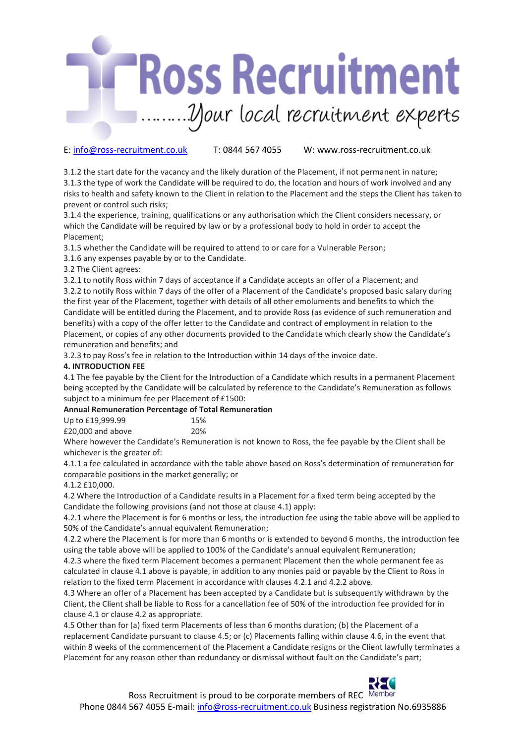

3.1.2 the start date for the vacancy and the likely duration of the Placement, if not permanent in nature; 3.1.3 the type of work the Candidate will be required to do, the location and hours of work involved and any risks to health and safety known to the Client in relation to the Placement and the steps the Client has taken to prevent or control such risks;

3.1.4 the experience, training, qualifications or any authorisation which the Client considers necessary, or which the Candidate will be required by law or by a professional body to hold in order to accept the Placement;

3.1.5 whether the Candidate will be required to attend to or care for a Vulnerable Person;

3.1.6 any expenses payable by or to the Candidate.

3.2 The Client agrees:

3.2.1 to notify Ross within 7 days of acceptance if a Candidate accepts an offer of a Placement; and 3.2.2 to notify Ross within 7 days of the offer of a Placement of the Candidate's proposed basic salary during the first year of the Placement, together with details of all other emoluments and benefits to which the Candidate will be entitled during the Placement, and to provide Ross (as evidence of such remuneration and benefits) with a copy of the offer letter to the Candidate and contract of employment in relation to the Placement, or copies of any other documents provided to the Candidate which clearly show the Candidate's

remuneration and benefits; and 3.2.3 to pay Ross's fee in relation to the Introduction within 14 days of the invoice date.

# **4. INTRODUCTION FEE**

4.1 The fee payable by the Client for the Introduction of a Candidate which results in a permanent Placement being accepted by the Candidate will be calculated by reference to the Candidate's Remuneration as follows subject to a minimum fee per Placement of £1500:

# **Annual Remuneration Percentage of Total Remuneration**

| Up to £19,999.99  | 15% |
|-------------------|-----|
| £20,000 and above | 20% |

Where however the Candidate's Remuneration is not known to Ross, the fee payable by the Client shall be whichever is the greater of:

4.1.1 a fee calculated in accordance with the table above based on Ross's determination of remuneration for comparable positions in the market generally; or

# 4.1.2 £10,000.

4.2 Where the Introduction of a Candidate results in a Placement for a fixed term being accepted by the Candidate the following provisions (and not those at clause 4.1) apply:

4.2.1 where the Placement is for 6 months or less, the introduction fee using the table above will be applied to 50% of the Candidate's annual equivalent Remuneration;

4.2.2 where the Placement is for more than 6 months or is extended to beyond 6 months, the introduction fee using the table above will be applied to 100% of the Candidate's annual equivalent Remuneration;

4.2.3 where the fixed term Placement becomes a permanent Placement then the whole permanent fee as calculated in clause 4.1 above is payable, in addition to any monies paid or payable by the Client to Ross in relation to the fixed term Placement in accordance with clauses 4.2.1 and 4.2.2 above.

4.3 Where an offer of a Placement has been accepted by a Candidate but is subsequently withdrawn by the Client, the Client shall be liable to Ross for a cancellation fee of 50% of the introduction fee provided for in clause 4.1 or clause 4.2 as appropriate.

4.5 Other than for (a) fixed term Placements of less than 6 months duration; (b) the Placement of a replacement Candidate pursuant to clause 4.5; or (c) Placements falling within clause 4.6, in the event that within 8 weeks of the commencement of the Placement a Candidate resigns or the Client lawfully terminates a Placement for any reason other than redundancy or dismissal without fault on the Candidate's part;

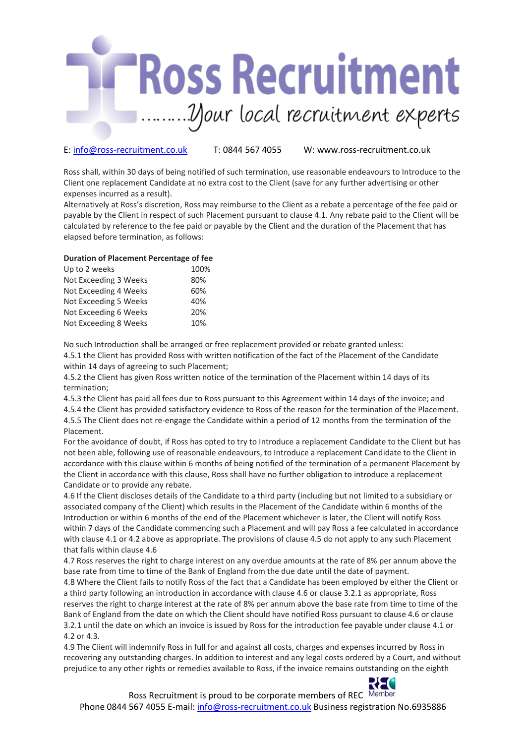

Ross shall, within 30 days of being notified of such termination, use reasonable endeavours to Introduce to the Client one replacement Candidate at no extra cost to the Client (save for any further advertising or other expenses incurred as a result).

Alternatively at Ross's discretion, Ross may reimburse to the Client as a rebate a percentage of the fee paid or payable by the Client in respect of such Placement pursuant to clause 4.1. Any rebate paid to the Client will be calculated by reference to the fee paid or payable by the Client and the duration of the Placement that has elapsed before termination, as follows:

## **Duration of Placement Percentage of fee**

| 100% |
|------|
| 80%  |
| 60%  |
| 40%  |
| 20%  |
| 10%  |
|      |

No such Introduction shall be arranged or free replacement provided or rebate granted unless: 4.5.1 the Client has provided Ross with written notification of the fact of the Placement of the Candidate within 14 days of agreeing to such Placement;

4.5.2 the Client has given Ross written notice of the termination of the Placement within 14 days of its termination;

4.5.3 the Client has paid all fees due to Ross pursuant to this Agreement within 14 days of the invoice; and 4.5.4 the Client has provided satisfactory evidence to Ross of the reason for the termination of the Placement. 4.5.5 The Client does not re-engage the Candidate within a period of 12 months from the termination of the Placement.

For the avoidance of doubt, if Ross has opted to try to Introduce a replacement Candidate to the Client but has not been able, following use of reasonable endeavours, to Introduce a replacement Candidate to the Client in accordance with this clause within 6 months of being notified of the termination of a permanent Placement by the Client in accordance with this clause, Ross shall have no further obligation to introduce a replacement Candidate or to provide any rebate.

4.6 If the Client discloses details of the Candidate to a third party (including but not limited to a subsidiary or associated company of the Client) which results in the Placement of the Candidate within 6 months of the Introduction or within 6 months of the end of the Placement whichever is later, the Client will notify Ross within 7 days of the Candidate commencing such a Placement and will pay Ross a fee calculated in accordance with clause 4.1 or 4.2 above as appropriate. The provisions of clause 4.5 do not apply to any such Placement that falls within clause 4.6

4.7 Ross reserves the right to charge interest on any overdue amounts at the rate of 8% per annum above the base rate from time to time of the Bank of England from the due date until the date of payment.

4.8 Where the Client fails to notify Ross of the fact that a Candidate has been employed by either the Client or a third party following an introduction in accordance with clause 4.6 or clause 3.2.1 as appropriate, Ross reserves the right to charge interest at the rate of 8% per annum above the base rate from time to time of the Bank of England from the date on which the Client should have notified Ross pursuant to clause 4.6 or clause 3.2.1 until the date on which an invoice is issued by Ross for the introduction fee payable under clause 4.1 or 4.2 or 4.3.

4.9 The Client will indemnify Ross in full for and against all costs, charges and expenses incurred by Ross in recovering any outstanding charges. In addition to interest and any legal costs ordered by a Court, and without prejudice to any other rights or remedies available to Ross, if the invoice remains outstanding on the eighth



Ross Recruitment is proud to be corporate members of REC Member

Phone 0844 567 4055 E-mail: info@ross-recruitment.co.uk Business registration No.6935886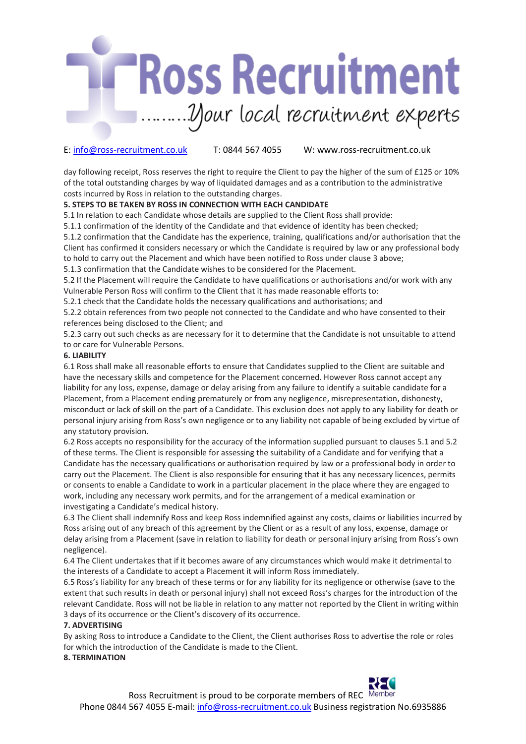

day following receipt, Ross reserves the right to require the Client to pay the higher of the sum of £125 or 10% of the total outstanding charges by way of liquidated damages and as a contribution to the administrative costs incurred by Ross in relation to the outstanding charges.

# **5. STEPS TO BE TAKEN BY ROSS IN CONNECTION WITH EACH CANDIDATE**

5.1 In relation to each Candidate whose details are supplied to the Client Ross shall provide:

5.1.1 confirmation of the identity of the Candidate and that evidence of identity has been checked;

5.1.2 confirmation that the Candidate has the experience, training, qualifications and/or authorisation that the Client has confirmed it considers necessary or which the Candidate is required by law or any professional body to hold to carry out the Placement and which have been notified to Ross under clause 3 above;

5.1.3 confirmation that the Candidate wishes to be considered for the Placement.

5.2 If the Placement will require the Candidate to have qualifications or authorisations and/or work with any Vulnerable Person Ross will confirm to the Client that it has made reasonable efforts to:

5.2.1 check that the Candidate holds the necessary qualifications and authorisations; and

5.2.2 obtain references from two people not connected to the Candidate and who have consented to their references being disclosed to the Client; and

5.2.3 carry out such checks as are necessary for it to determine that the Candidate is not unsuitable to attend to or care for Vulnerable Persons.

#### **6. LIABILITY**

6.1 Ross shall make all reasonable efforts to ensure that Candidates supplied to the Client are suitable and have the necessary skills and competence for the Placement concerned. However Ross cannot accept any liability for any loss, expense, damage or delay arising from any failure to identify a suitable candidate for a Placement, from a Placement ending prematurely or from any negligence, misrepresentation, dishonesty, misconduct or lack of skill on the part of a Candidate. This exclusion does not apply to any liability for death or personal injury arising from Ross's own negligence or to any liability not capable of being excluded by virtue of any statutory provision.

6.2 Ross accepts no responsibility for the accuracy of the information supplied pursuant to clauses 5.1 and 5.2 of these terms. The Client is responsible for assessing the suitability of a Candidate and for verifying that a Candidate has the necessary qualifications or authorisation required by law or a professional body in order to carry out the Placement. The Client is also responsible for ensuring that it has any necessary licences, permits or consents to enable a Candidate to work in a particular placement in the place where they are engaged to work, including any necessary work permits, and for the arrangement of a medical examination or investigating a Candidate's medical history.

6.3 The Client shall indemnify Ross and keep Ross indemnified against any costs, claims or liabilities incurred by Ross arising out of any breach of this agreement by the Client or as a result of any loss, expense, damage or delay arising from a Placement (save in relation to liability for death or personal injury arising from Ross's own negligence).

6.4 The Client undertakes that if it becomes aware of any circumstances which would make it detrimental to the interests of a Candidate to accept a Placement it will inform Ross immediately.

6.5 Ross's liability for any breach of these terms or for any liability for its negligence or otherwise (save to the extent that such results in death or personal injury) shall not exceed Ross's charges for the introduction of the relevant Candidate. Ross will not be liable in relation to any matter not reported by the Client in writing within 3 days of its occurrence or the Client's discovery of its occurrence.

### **7. ADVERTISING**

By asking Ross to introduce a Candidate to the Client, the Client authorises Ross to advertise the role or roles for which the introduction of the Candidate is made to the Client.

#### **8. TERMINATION**